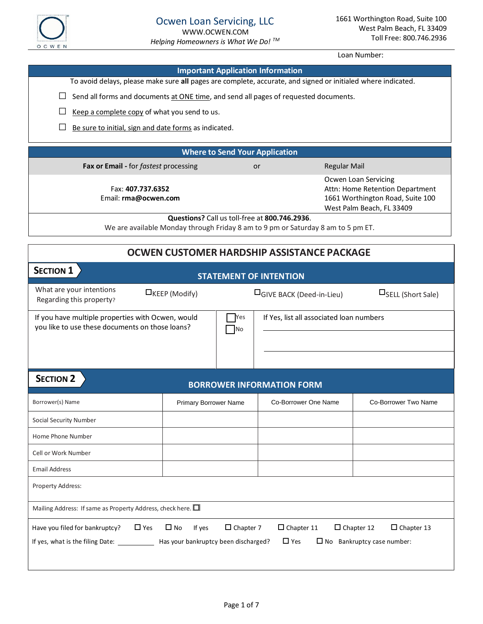

|                                                                  | Loan Number:                 |                                  |                                                                                                              |                                        |  |  |
|------------------------------------------------------------------|------------------------------|----------------------------------|--------------------------------------------------------------------------------------------------------------|----------------------------------------|--|--|
|                                                                  |                              |                                  | <b>Important Application Information</b>                                                                     |                                        |  |  |
|                                                                  |                              |                                  | To avoid delays, please make sure all pages are complete, accurate, and signed or initialed where indicated. |                                        |  |  |
|                                                                  |                              |                                  | Send all forms and documents at ONE time, and send all pages of requested documents.                         |                                        |  |  |
| Keep a complete copy of what you send to us.                     |                              |                                  |                                                                                                              |                                        |  |  |
| Be sure to initial, sign and date forms as indicated.            |                              |                                  |                                                                                                              |                                        |  |  |
|                                                                  |                              |                                  |                                                                                                              |                                        |  |  |
|                                                                  |                              |                                  | <b>Where to Send Your Application</b>                                                                        |                                        |  |  |
| Fax or Email - for fastest processing                            |                              |                                  | or                                                                                                           | <b>Regular Mail</b>                    |  |  |
| Fax: 407.737.6352                                                |                              |                                  | Ocwen Loan Servicing<br>Attn: Home Retention Department                                                      |                                        |  |  |
| Email: rma@ocwen.com                                             |                              | 1661 Worthington Road, Suite 100 |                                                                                                              |                                        |  |  |
|                                                                  |                              |                                  | Questions? Call us toll-free at 800.746.2936.                                                                | West Palm Beach, FL 33409              |  |  |
|                                                                  |                              |                                  | We are available Monday through Friday 8 am to 9 pm or Saturday 8 am to 5 pm ET.                             |                                        |  |  |
|                                                                  |                              |                                  | <b>OCWEN CUSTOMER HARDSHIP ASSISTANCE PACKAGE</b>                                                            |                                        |  |  |
| <b>SECTION 1</b>                                                 |                              |                                  | <b>STATEMENT OF INTENTION</b>                                                                                |                                        |  |  |
| What are your intentions<br>Regarding this property?             | $\Box$ KEEP (Modify)         |                                  | <b>OGIVE BACK (Deed-in-Lieu)</b>                                                                             | $\square$ SELL (Short Sale)            |  |  |
| If you have multiple properties with Ocwen, would                |                              | Yes                              | If Yes, list all associated loan numbers                                                                     |                                        |  |  |
| you like to use these documents on those loans?                  |                              | No                               |                                                                                                              |                                        |  |  |
|                                                                  |                              |                                  |                                                                                                              |                                        |  |  |
|                                                                  |                              |                                  |                                                                                                              |                                        |  |  |
| <b>SECTION 2</b>                                                 |                              |                                  | <b>BORROWER INFORMATION FORM</b>                                                                             |                                        |  |  |
| Borrower(s) Name                                                 | <b>Primary Borrower Name</b> |                                  | Co-Borrower One Name                                                                                         | Co-Borrower Two Name                   |  |  |
| <b>Social Security Number</b>                                    |                              |                                  |                                                                                                              |                                        |  |  |
| Home Phone Number                                                |                              |                                  |                                                                                                              |                                        |  |  |
| Cell or Work Number                                              |                              |                                  |                                                                                                              |                                        |  |  |
| <b>Email Address</b>                                             |                              |                                  |                                                                                                              |                                        |  |  |
| Property Address:                                                |                              |                                  |                                                                                                              |                                        |  |  |
| Mailing Address: If same as Property Address, check here. $\Box$ |                              |                                  |                                                                                                              |                                        |  |  |
|                                                                  |                              |                                  |                                                                                                              |                                        |  |  |
| Have you filed for bankruptcy?<br>$\Box$ Yes                     | $\square$ No<br>If yes       | $\Box$ Chapter 7                 | $\Box$ Chapter 11                                                                                            | $\Box$ Chapter 12<br>$\Box$ Chapter 13 |  |  |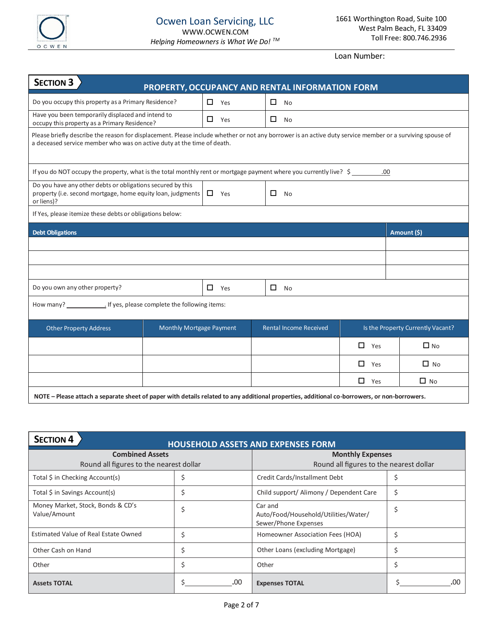

| <b>SECTION 3</b><br>PROPERTY, OCCUPANCY AND RENTAL INFORMATION FORM                                                                                                                                                                 |                          |  |            |                               |                                   |               |  |             |
|-------------------------------------------------------------------------------------------------------------------------------------------------------------------------------------------------------------------------------------|--------------------------|--|------------|-------------------------------|-----------------------------------|---------------|--|-------------|
| Do you occupy this property as a Primary Residence?                                                                                                                                                                                 |                          |  | $\Box$ Yes |                               | $\Box$ No                         |               |  |             |
| Have you been temporarily displaced and intend to<br>occupy this property as a Primary Residence?                                                                                                                                   |                          |  | $\Box$ Yes | $\Box$                        | <b>No</b>                         |               |  |             |
| Please briefly describe the reason for displacement. Please include whether or not any borrower is an active duty service member or a surviving spouse of<br>a deceased service member who was on active duty at the time of death. |                          |  |            |                               |                                   |               |  |             |
| If you do NOT occupy the property, what is the total monthly rent or mortgage payment where you currently live? \$<br>.00                                                                                                           |                          |  |            |                               |                                   |               |  |             |
| Do you have any other debts or obligations secured by this<br>property (i.e. second mortgage, home equity loan, judgments<br>$\Box$ Yes<br>$\Box$<br><b>No</b><br>or liens)?                                                        |                          |  |            |                               |                                   |               |  |             |
| If Yes, please itemize these debts or obligations below:                                                                                                                                                                            |                          |  |            |                               |                                   |               |  |             |
| <b>Debt Obligations</b>                                                                                                                                                                                                             |                          |  |            |                               |                                   |               |  | Amount (\$) |
|                                                                                                                                                                                                                                     |                          |  |            |                               |                                   |               |  |             |
|                                                                                                                                                                                                                                     |                          |  |            |                               |                                   |               |  |             |
|                                                                                                                                                                                                                                     |                          |  |            |                               |                                   |               |  |             |
| Do you own any other property?<br>$\Box$<br>□<br>Yes<br><b>No</b>                                                                                                                                                                   |                          |  |            |                               |                                   |               |  |             |
|                                                                                                                                                                                                                                     |                          |  |            |                               |                                   |               |  |             |
| <b>Other Property Address</b>                                                                                                                                                                                                       | Monthly Mortgage Payment |  |            | <b>Rental Income Received</b> | Is the Property Currently Vacant? |               |  |             |
|                                                                                                                                                                                                                                     |                          |  |            |                               |                                   | $\Box$<br>Yes |  | $\Box$ No   |
|                                                                                                                                                                                                                                     |                          |  |            |                               |                                   | $\Box$<br>Yes |  | $\Box$ No   |
|                                                                                                                                                                                                                                     |                          |  |            |                               |                                   | $\Box$<br>Yes |  | $\Box$ No   |
| NOTE - Please attach a separate sheet of paper with details related to any additional properties, additional co-borrowers, or non-borrowers.                                                                                        |                          |  |            |                               |                                   |               |  |             |

| <b>SECTION 4</b><br><b>HOUSEHOLD ASSETS AND EXPENSES FORM</b> |     |                                                                         |     |  |  |
|---------------------------------------------------------------|-----|-------------------------------------------------------------------------|-----|--|--|
| <b>Combined Assets</b><br><b>Monthly Expenses</b>             |     |                                                                         |     |  |  |
| Round all figures to the nearest dollar                       |     | Round all figures to the nearest dollar                                 |     |  |  |
| Total \$ in Checking Account(s)                               | \$  | Credit Cards/Installment Debt                                           |     |  |  |
| Total \$ in Savings Account(s)                                | \$  | Child support/ Alimony / Dependent Care                                 | Ś   |  |  |
| Money Market, Stock, Bonds & CD's<br>Value/Amount             | \$  | Car and<br>Auto/Food/Household/Utilities/Water/<br>Sewer/Phone Expenses |     |  |  |
| <b>Estimated Value of Real Estate Owned</b>                   | \$  | Homeowner Association Fees (HOA)                                        |     |  |  |
| Other Cash on Hand                                            | \$  | Other Loans (excluding Mortgage)                                        |     |  |  |
| Other                                                         | \$  | Other                                                                   |     |  |  |
| <b>Assets TOTAL</b>                                           | .00 | <b>Expenses TOTAL</b>                                                   | .00 |  |  |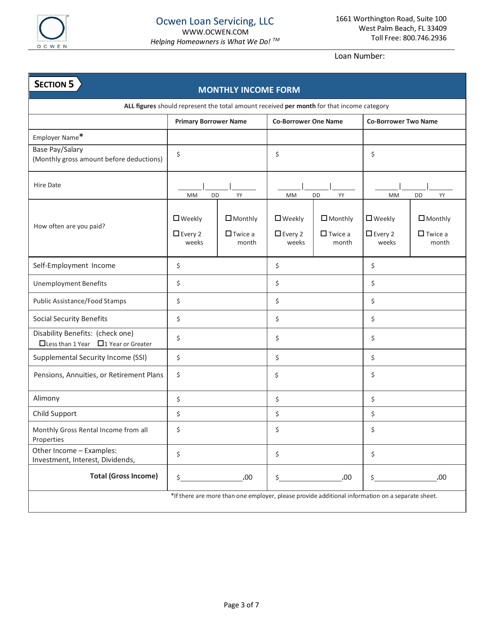

#### **MONTHLY INCOME FORM ALL figures** should represent the total amount received **per month** for that income category **Primary Borrower Name Co-Borrower One Name Co-Borrower Two Name** Employer Name**\*** Base Pay/Salary  $($ Monthly gross amount before deductions)  $\begin{vmatrix} 5 \\ 5 \end{vmatrix}$  and  $\begin{vmatrix} 2 \\ 5 \end{vmatrix}$  and  $\begin{vmatrix} 2 \\ 5 \end{vmatrix}$  and  $\begin{vmatrix} 2 \\ 5 \end{vmatrix}$ Hire Date | | MM DD YY | | MM DD YY | | MM DD YY How often are you paid? ■ Weekly ■Every 2 weeks □ Monthly  $\Box$ Twice a month ■ Weekly ■Every 2 weeks □ Monthly  $\Box$  Twice a month ■ Weekly Every 2 weeks □ Monthly  $\Box$  Twice a month Self-Employment Income \$ \$ \$ \$ \$ Unemployment Benefits  $\begin{array}{ccc} \vert & \zeta & \vert & \zeta \\ \end{array}$ Public Assistance/Food Stamps \$ \$ \$ Social Security Benefits \$ \$ \$ Disability Benefits: (check one)  $\Box$  Less than 1 Year  $\Box$  1 Year or Greater \$ \$ \$ Supplemental Security Income (SSI)  $\begin{array}{ccc} \ \ \, & \ \ \, & \ \ \, & \ \ \, & \ \ \, & \ \ \, & \ \ \, & \ \ \, & \ \ \, & \end{array}$ Pensions, Annuities, or Retirement Plans  $\begin{array}{c} \xi \end{array}$   $\begin{array}{c} \xi \end{array}$ Alimony \$ \$ \$ Child Support Services Association of the Services Association of the Services Association of the Services Association of the Services Association of the Services Association of the Services Association of the Services Ass Monthly Gross Rental Income from all Properties \$ \$ \$ Other Income – Examples: Investment, Interest, Dividends, \$ \$ \$ **Total (Gross Income)**  $\begin{array}{ccccccc} \xi & 0 & \xi & 0 & \xi \end{array}$ \*If there are more than one employer, please provide additional information on a separate sheet. **SECTION 5**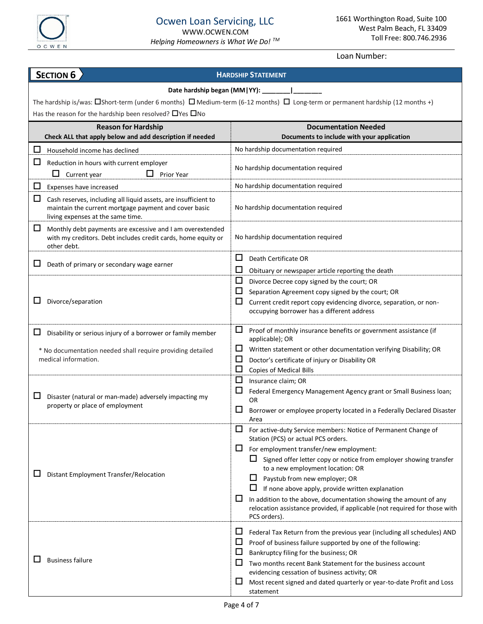

### **HARDSHIP STATEMENT Date hardship began (MM|YY): \_\_\_\_\_\_\_\_|\_\_\_\_\_\_\_\_** The hardship is/was:  $\Box$ Short-term (under 6 months)  $\Box$  Medium-term (6-12 months)  $\Box$  Long-term or permanent hardship (12 months +) Has the reason for the hardship been resolved?  $\Box$  Yes  $\Box$  No **Reason for Hardship Documentation Needed Check ALL that apply below and add description if needed Documents to include with your application**  $\Box$  Household income has declined  $\Box$  No hardship documentation required  $\Box$  Reduction in hours with current employer  $\Box$  Current year  $\Box$  Prior Year  $\Box$  No hardship documentation required Expenses have increased Note 2 and 2 and 2 and 2 and 2 and 2 and 2 and 2 and 2 and 2 and 2 and 2 and 2 and 2 and 2 and 2 and 2 and 2 and 2 and 2 and 2 and 2 and 2 and 2 and 2 and 2 and 2 and 2 and 2 and 2 and 2 and 2 and 2  $\Box$  Cash reserves, including all liquid assets, are insufficient to maintain the current mortgage payment and cover basic living expenses at the same time. No hardship documentation required  $\Box$  Monthly debt payments are excessive and I am overextended with my creditors. Debt includes credit cards, home equity or other debt. No hardship documentation required  $\Box$  Death of primary or secondary wage earner  $\Box$  Death Certificate OR  $\Box$  Obituary or newspaper article reporting the death  $\square$  Divorce/separation  $\square$  Divorce Decree copy signed by the court; OR  $\Box$  Separation Agreement copy signed by the court; OR  $\Box$  Current credit report copy evidencing divorce, separation, or nonoccupying borrower has a different address  $\square$  Disability or serious injury of a borrower or family member \* No documentation needed shall require providing detailed medical information.  $\Box$  Proof of monthly insurance benefits or government assistance (if applicable); OR  $\Box$  Written statement or other documentation verifying Disability; OR  $\Box$  Doctor's certificate of injury or Disability OR  $\Box$  Copies of Medical Bills  $\square$  Disaster (natural or man-made) adversely impacting my property or place of employment  $\Box$  Insurance claim; OR  $\Box$  Federal Emergency Management Agency grant or Small Business loan; OR  $\Box$  Borrower or employee property located in a Federally Declared Disaster Area  $\square$  Distant Employment Transfer/Relocation  $\Box$  For active-duty Service members: Notice of Permanent Change of Station (PCS) or actual PCS orders.  $\Box$  For employment transfer/new employment:  $\Box$  Signed offer letter copy or notice from employer showing transfer to a new employment location: OR  $\Box$  Paystub from new employer; OR  $\Box$  If none above apply, provide written explanation  $\Box$  In addition to the above, documentation showing the amount of any relocation assistance provided, if applicable (not required for those with PCS orders).  $\Box$  Business failure  $\Box$  Federal Tax Return from the previous year (including all schedules) AND  $\Box$  Proof of business failure supported by one of the following:  $\Box$  Bankruptcy filing for the business; OR  $\Box$  Two months recent Bank Statement for the business account evidencing cessation of business activity; OR  $\Box$  Most recent signed and dated quarterly or year-to-date Profit and Loss statement **SECTION 6**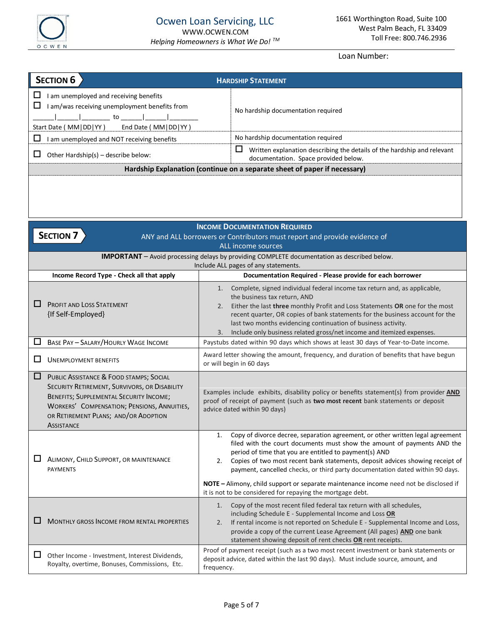

| <b>SECTION 6</b>                                                                                                                                  | <b>HARDSHIP STATEMENT</b>                                                                                            |  |  |  |
|---------------------------------------------------------------------------------------------------------------------------------------------------|----------------------------------------------------------------------------------------------------------------------|--|--|--|
| am unemployed and receiving benefits<br>am/was receiving unemployment benefits from<br>to to<br>End Date (MM   DD   YY )<br>Start Date (MM DD YY) | No hardship documentation required                                                                                   |  |  |  |
| Ш<br>am unemployed and NOT receiving benefits                                                                                                     | No hardship documentation required                                                                                   |  |  |  |
| Other Hardship(s) - describe below:                                                                                                               | Ц<br>Written explanation describing the details of the hardship and relevant<br>documentation. Space provided below. |  |  |  |
| Hardship Explanation (continue on a separate sheet of paper if necessary)                                                                         |                                                                                                                      |  |  |  |
|                                                                                                                                                   |                                                                                                                      |  |  |  |

|        | <b>INCOME DOCUMENTATION REQUIRED</b><br><b>SECTION 7</b>                                                                                                                                                                                                      |                                                                                                                                                                                                                                                                                                                                                                                                                                                                                                                                                          |  |  |  |  |
|--------|---------------------------------------------------------------------------------------------------------------------------------------------------------------------------------------------------------------------------------------------------------------|----------------------------------------------------------------------------------------------------------------------------------------------------------------------------------------------------------------------------------------------------------------------------------------------------------------------------------------------------------------------------------------------------------------------------------------------------------------------------------------------------------------------------------------------------------|--|--|--|--|
|        | ANY and ALL borrowers or Contributors must report and provide evidence of<br>ALL income sources                                                                                                                                                               |                                                                                                                                                                                                                                                                                                                                                                                                                                                                                                                                                          |  |  |  |  |
|        | <b>IMPORTANT</b> - Avoid processing delays by providing COMPLETE documentation as described below.                                                                                                                                                            |                                                                                                                                                                                                                                                                                                                                                                                                                                                                                                                                                          |  |  |  |  |
|        | Income Record Type - Check all that apply                                                                                                                                                                                                                     | Include ALL pages of any statements.<br>Documentation Required - Please provide for each borrower                                                                                                                                                                                                                                                                                                                                                                                                                                                        |  |  |  |  |
| ப      | PROFIT AND LOSS STATEMENT<br>{If Self-Employed}                                                                                                                                                                                                               | Complete, signed individual federal income tax return and, as applicable,<br>1.<br>the business tax return, AND<br>Either the last three monthly Profit and Loss Statements OR one for the most<br>2.<br>recent quarter, OR copies of bank statements for the business account for the<br>last two months evidencing continuation of business activity.<br>Include only business related gross/net income and itemized expenses.<br>3.                                                                                                                   |  |  |  |  |
| ப      | <b>BASE PAY - SALARY/HOURLY WAGE INCOME</b>                                                                                                                                                                                                                   | Paystubs dated within 90 days which shows at least 30 days of Year-to-Date income.                                                                                                                                                                                                                                                                                                                                                                                                                                                                       |  |  |  |  |
| ΙI     | <b>UNEMPLOYMENT BENEFITS</b>                                                                                                                                                                                                                                  | Award letter showing the amount, frequency, and duration of benefits that have begun<br>or will begin in 60 days                                                                                                                                                                                                                                                                                                                                                                                                                                         |  |  |  |  |
| □      | PUBLIC ASSISTANCE & FOOD STAMPS; SOCIAL<br>SECURITY RETIREMENT, SURVIVORS, OR DISABILITY<br><b>BENEFITS; SUPPLEMENTAL SECURITY INCOME;</b><br><b>WORKERS' COMPENSATION; PENSIONS, ANNUITIES,</b><br>OR RETIREMENT PLANS; AND/OR ADOPTION<br><b>ASSISTANCE</b> | Examples include exhibits, disability policy or benefits statement(s) from provider <b>AND</b><br>proof of receipt of payment (such as two most recent bank statements or deposit<br>advice dated within 90 days)                                                                                                                                                                                                                                                                                                                                        |  |  |  |  |
| ப      | ALIMONY, CHILD SUPPORT, OR MAINTENANCE<br><b>PAYMENTS</b>                                                                                                                                                                                                     | Copy of divorce decree, separation agreement, or other written legal agreement<br>1.<br>filed with the court documents must show the amount of payments AND the<br>period of time that you are entitled to payment(s) AND<br>Copies of two most recent bank statements, deposit advices showing receipt of<br>2.<br>payment, cancelled checks, or third party documentation dated within 90 days.<br>NOTE - Alimony, child support or separate maintenance income need not be disclosed if<br>it is not to be considered for repaying the mortgage debt. |  |  |  |  |
|        | MONTHLY GROSS INCOME FROM RENTAL PROPERTIES                                                                                                                                                                                                                   | Copy of the most recent filed federal tax return with all schedules,<br>1.<br>including Schedule E - Supplemental Income and Loss OR<br>If rental income is not reported on Schedule E - Supplemental Income and Loss,<br>2.<br>provide a copy of the current Lease Agreement (All pages) AND one bank<br>statement showing deposit of rent checks OR rent receipts.                                                                                                                                                                                     |  |  |  |  |
| $\Box$ | Other Income - Investment, Interest Dividends,<br>Royalty, overtime, Bonuses, Commissions, Etc.                                                                                                                                                               | Proof of payment receipt (such as a two most recent investment or bank statements or<br>deposit advice, dated within the last 90 days). Must include source, amount, and<br>frequency.                                                                                                                                                                                                                                                                                                                                                                   |  |  |  |  |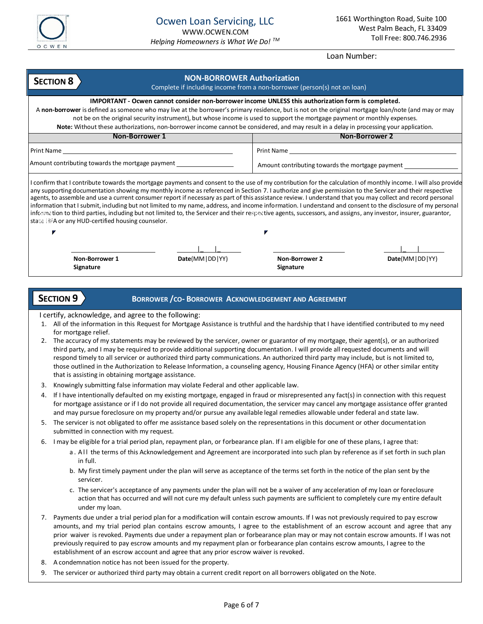